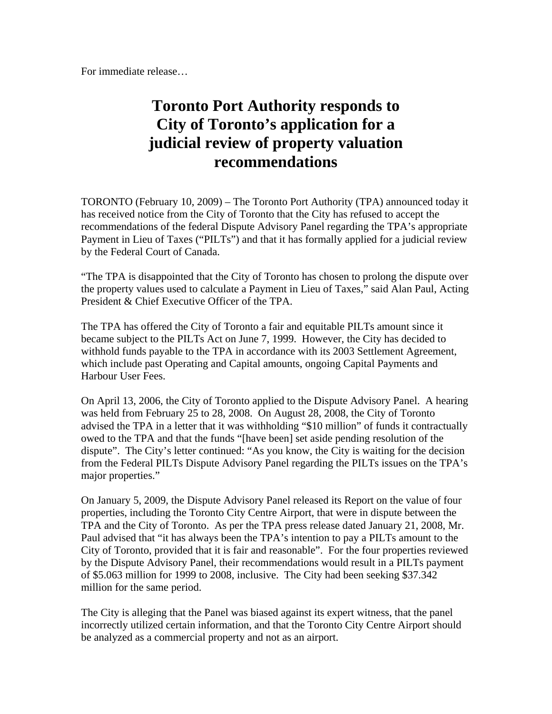For immediate release…

## **Toronto Port Authority responds to City of Toronto's application for a judicial review of property valuation recommendations**

TORONTO (February 10, 2009) – The Toronto Port Authority (TPA) announced today it has received notice from the City of Toronto that the City has refused to accept the recommendations of the federal Dispute Advisory Panel regarding the TPA's appropriate Payment in Lieu of Taxes ("PILTs") and that it has formally applied for a judicial review by the Federal Court of Canada.

"The TPA is disappointed that the City of Toronto has chosen to prolong the dispute over the property values used to calculate a Payment in Lieu of Taxes," said Alan Paul, Acting President & Chief Executive Officer of the TPA.

The TPA has offered the City of Toronto a fair and equitable PILTs amount since it became subject to the PILTs Act on June 7, 1999. However, the City has decided to withhold funds payable to the TPA in accordance with its 2003 Settlement Agreement, which include past Operating and Capital amounts, ongoing Capital Payments and Harbour User Fees.

On April 13, 2006, the City of Toronto applied to the Dispute Advisory Panel. A hearing was held from February 25 to 28, 2008. On August 28, 2008, the City of Toronto advised the TPA in a letter that it was withholding "\$10 million" of funds it contractually owed to the TPA and that the funds "[have been] set aside pending resolution of the dispute". The City's letter continued: "As you know, the City is waiting for the decision from the Federal PILTs Dispute Advisory Panel regarding the PILTs issues on the TPA's major properties."

On January 5, 2009, the Dispute Advisory Panel released its Report on the value of four properties, including the Toronto City Centre Airport, that were in dispute between the TPA and the City of Toronto. As per the TPA press release dated January 21, 2008, Mr. Paul advised that "it has always been the TPA's intention to pay a PILTs amount to the City of Toronto, provided that it is fair and reasonable". For the four properties reviewed by the Dispute Advisory Panel, their recommendations would result in a PILTs payment of \$5.063 million for 1999 to 2008, inclusive. The City had been seeking \$37.342 million for the same period.

The City is alleging that the Panel was biased against its expert witness, that the panel incorrectly utilized certain information, and that the Toronto City Centre Airport should be analyzed as a commercial property and not as an airport.